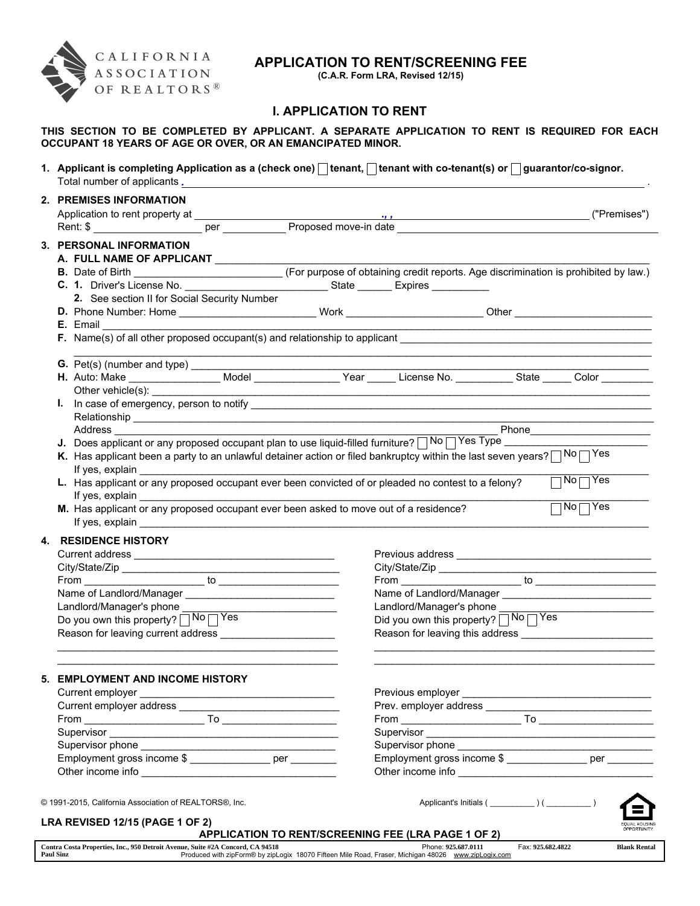

# APPLICATION TO RENT/SCREENING FEE

(C.A.R. Form LRA, Revised 12/15)

# I. APPLICATION TO RENT

## THIS SECTION TO BE COMPLETED BY APPLICANT. A SEPARATE APPLICATION TO RENT IS REQUIRED FOR EACH OCCUPANT 18 YEARS OF AGE OR OVER, OR AN EMANCIPATED MINOR.

1. Applicant is completing Application as a (check one)  $\Box$  tenant,  $\Box$  tenant with co-tenant(s) or  $\Box$  guarantor/co-signor.

Total number of applicants . *.*

| 2. PREMISES INFORMATION                                                                                                                                                                                                        |                                                                                                                        |                                                     |                                                                                                                        |                      |
|--------------------------------------------------------------------------------------------------------------------------------------------------------------------------------------------------------------------------------|------------------------------------------------------------------------------------------------------------------------|-----------------------------------------------------|------------------------------------------------------------------------------------------------------------------------|----------------------|
|                                                                                                                                                                                                                                |                                                                                                                        |                                                     | <u>,,</u> ("Premises")                                                                                                 |                      |
|                                                                                                                                                                                                                                |                                                                                                                        |                                                     |                                                                                                                        |                      |
| 3. PERSONAL INFORMATION                                                                                                                                                                                                        |                                                                                                                        |                                                     |                                                                                                                        |                      |
| A. FULL NAME OF APPLICANT __________                                                                                                                                                                                           |                                                                                                                        |                                                     |                                                                                                                        |                      |
|                                                                                                                                                                                                                                |                                                                                                                        |                                                     |                                                                                                                        |                      |
|                                                                                                                                                                                                                                |                                                                                                                        |                                                     |                                                                                                                        |                      |
| 2. See section II for Social Security Number                                                                                                                                                                                   |                                                                                                                        |                                                     |                                                                                                                        |                      |
| D. Phone Number: Home ____________________________Work _________________________Other ________________________                                                                                                                 |                                                                                                                        |                                                     |                                                                                                                        |                      |
|                                                                                                                                                                                                                                |                                                                                                                        |                                                     |                                                                                                                        |                      |
|                                                                                                                                                                                                                                |                                                                                                                        |                                                     | <u> 1990 - Andrea San Andrea San Andrea San Andrea San Andrea San Andrea San Andrea San Andrea San Andrea San Andr</u> |                      |
|                                                                                                                                                                                                                                |                                                                                                                        |                                                     |                                                                                                                        |                      |
|                                                                                                                                                                                                                                |                                                                                                                        |                                                     |                                                                                                                        |                      |
|                                                                                                                                                                                                                                |                                                                                                                        |                                                     |                                                                                                                        |                      |
|                                                                                                                                                                                                                                |                                                                                                                        |                                                     |                                                                                                                        |                      |
|                                                                                                                                                                                                                                |                                                                                                                        |                                                     |                                                                                                                        |                      |
|                                                                                                                                                                                                                                |                                                                                                                        |                                                     | ____ Phone____________________                                                                                         |                      |
|                                                                                                                                                                                                                                |                                                                                                                        |                                                     |                                                                                                                        |                      |
| K. Has applicant been a party to an unlawful detainer action or filed bankruptcy within the last seven years? $\Box$ No $\Box$ Yes                                                                                             |                                                                                                                        |                                                     |                                                                                                                        |                      |
|                                                                                                                                                                                                                                |                                                                                                                        |                                                     | $\neg$ No $\neg$ Yes                                                                                                   |                      |
| L. Has applicant or any proposed occupant ever been convicted of or pleaded no contest to a felony?                                                                                                                            |                                                                                                                        |                                                     |                                                                                                                        |                      |
| M. Has applicant or any proposed occupant ever been asked to move out of a residence?                                                                                                                                          |                                                                                                                        |                                                     | $\Box$ No $\Box$ Yes                                                                                                   |                      |
| If yes, explain explaint the state of the state of the state of the state of the state of the state of the state of the state of the state of the state of the state of the state of the state of the state of the state of th |                                                                                                                        |                                                     |                                                                                                                        |                      |
|                                                                                                                                                                                                                                |                                                                                                                        |                                                     |                                                                                                                        |                      |
| <b>4. RESIDENCE HISTORY</b>                                                                                                                                                                                                    |                                                                                                                        |                                                     |                                                                                                                        |                      |
|                                                                                                                                                                                                                                |                                                                                                                        |                                                     | Previous address experience and the contract of the contract of the contract of the contract of the contract of        |                      |
|                                                                                                                                                                                                                                |                                                                                                                        |                                                     | $From _______ to _______$                                                                                              |                      |
| Name of Landlord/Manager _________________________________                                                                                                                                                                     |                                                                                                                        |                                                     |                                                                                                                        |                      |
| Landlord/Manager's phone ________                                                                                                                                                                                              |                                                                                                                        | Landlord/Manager's phone _________                  |                                                                                                                        |                      |
| Do you own this property? No TYes                                                                                                                                                                                              |                                                                                                                        | Did you own this property? No TYes                  |                                                                                                                        |                      |
| Reason for leaving current address ________________________                                                                                                                                                                    |                                                                                                                        |                                                     |                                                                                                                        |                      |
|                                                                                                                                                                                                                                |                                                                                                                        |                                                     |                                                                                                                        |                      |
|                                                                                                                                                                                                                                |                                                                                                                        |                                                     |                                                                                                                        |                      |
| 5. EMPLOYMENT AND INCOME HISTORY                                                                                                                                                                                               |                                                                                                                        |                                                     |                                                                                                                        |                      |
| Current employer __                                                                                                                                                                                                            | <u> 1989 - Johann Stoff, deutscher Stoffen und der Stoffen und der Stoffen und der Stoffen und der Stoffen und der</u> | Previous employer                                   |                                                                                                                        |                      |
| Current employer address _____                                                                                                                                                                                                 |                                                                                                                        | Prev. employer address ______                       |                                                                                                                        |                      |
|                                                                                                                                                                                                                                |                                                                                                                        |                                                     |                                                                                                                        |                      |
|                                                                                                                                                                                                                                |                                                                                                                        |                                                     |                                                                                                                        |                      |
|                                                                                                                                                                                                                                |                                                                                                                        |                                                     |                                                                                                                        |                      |
| Employment gross income \$ _________________ per ________                                                                                                                                                                      |                                                                                                                        |                                                     | Employment gross income \$ _________________ per _________                                                             |                      |
|                                                                                                                                                                                                                                |                                                                                                                        |                                                     |                                                                                                                        |                      |
|                                                                                                                                                                                                                                |                                                                                                                        |                                                     |                                                                                                                        |                      |
| © 1991-2015, California Association of REALTORS®, Inc.                                                                                                                                                                         |                                                                                                                        |                                                     |                                                                                                                        |                      |
| LRA REVISED 12/15 (PAGE 1 OF 2)                                                                                                                                                                                                |                                                                                                                        |                                                     |                                                                                                                        | <b>EQUAL HOUSING</b> |
|                                                                                                                                                                                                                                |                                                                                                                        | APPLICATION TO RENT/SCREENING FEE (LRA PAGE 1 OF 2) |                                                                                                                        | OPPORTUNITY          |